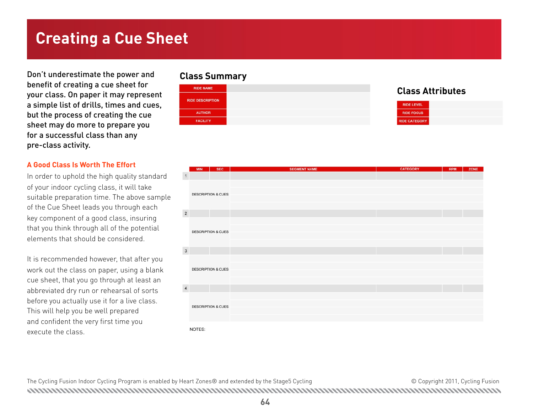## **Creating a Cue Sheet**

Don't underestimate the power and benefit of creating a cue sheet for your class. On paper it may represent a simple list of drills, times and cues, but the process of creating the cue sheet may do more to prepare you for a successful class than any pre-class activity.

#### **A Good Class Is Worth The Effort**

In order to uphold the high quality standard of your indoor cycling class, it will take suitable preparation time. The above sample of the Cue Sheet leads you through each key component of a good class, insuring that you think through all of the potential elements that should be considered.

It is recommended however, that after you work out the class on paper, using a blank cue sheet, that you go through at least an abbreviated dry run or rehearsal of sorts before you actually use it for a live class. This will help you be well prepared and confident the very first time you execute the class.

#### **Class Summary**



#### **Class Attributes**

| <b>RIDE LEVEL</b>    |
|----------------------|
| <b>RIDE FOCUS</b>    |
| <b>RIDE CATEGORY</b> |

|                | <b>SEC</b><br><b>MIN</b>      | <b>SEGMENT NAME</b> | <b>CATEGORY</b> | <b>RPM</b> | ZONE |
|----------------|-------------------------------|---------------------|-----------------|------------|------|
| $\mathbf 1$    | <b>DESCRIPTION &amp; CUES</b> |                     |                 |            |      |
| $\mathbf 2$    |                               |                     |                 |            |      |
|                | <b>DESCRIPTION &amp; CUES</b> |                     |                 |            |      |
| $\overline{3}$ |                               |                     |                 |            |      |
|                | <b>DESCRIPTION &amp; CUES</b> |                     |                 |            |      |
| $\sqrt{4}$     |                               |                     |                 |            |      |
|                | <b>DESCRIPTION &amp; CUES</b> |                     |                 |            |      |
|                | NOTES:                        |                     |                 |            |      |

The Cycling Fusion Indoor Cycling Program is enabled by Heart Zones® and extended by the Stage5 Cycling  $\blacksquare$   $\blacksquare$   $\blacksquare$   $\blacksquare$   $\blacksquare$   $\blacksquare$   $\blacksquare$   $\blacksquare$   $\blacksquare$   $\blacksquare$   $\blacksquare$   $\blacksquare$   $\blacksquare$   $\blacksquare$   $\blacksquare$   $\blacksquare$   $\blacksquare$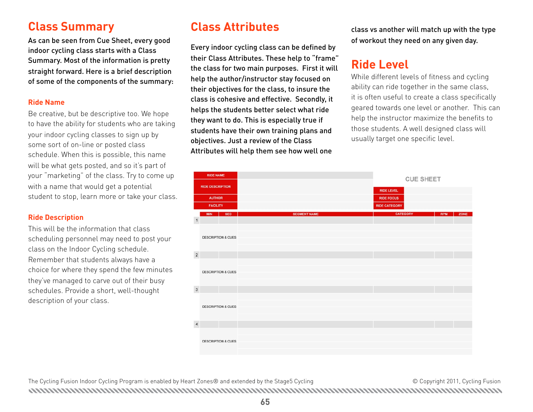## **Class Summary**

As can be seen from Cue Sheet, every good indoor cycling class starts with a Class Summary. Most of the information is pretty straight forward. Here is a brief description of some of the components of the summary:

#### **Ride Name**

Be creative, but be descriptive too. We hope to have the ability for students who are taking your indoor cycling classes to sign up by some sort of on-line or posted class schedule. When this is possible, this name will be what gets posted, and so it's part of your "marketing" of the class. Try to come up with a name that would get a potential student to stop, learn more or take your class.

#### **Ride Description**

This will be the information that class scheduling personnel may need to post your class on the Indoor Cycling schedule. Remember that students always have a choice for where they spend the few minutes they've managed to carve out of their busy schedules. Provide a short, well-thought description of your class.

## **Class Attributes**

Every indoor cycling class can be defined by their Class Attributes. These help to "frame" the class for two main purposes. First it will help the author/instructor stay focused on their objectives for the class, to insure the class is cohesive and effective. Secondly, it helps the students better select what ride they want to do. This is especially true if students have their own training plans and objectives. Just a review of the Class Attributes will help them see how well one

class vs another will match up with the type of workout they need on any given day.

## **Ride Level**

While different levels of fitness and cycling ability can ride together in the same class, it is often useful to create a class specifically geared towards one level or another. This can help the instructor maximize the benefits to those students. A well designed class will usually target one specific level.

| <b>RIDE NAME</b><br><b>RIDE DESCRIPTION</b> |                 |                               |                     | <b>CUE SHEET</b>     |  |            |      |
|---------------------------------------------|-----------------|-------------------------------|---------------------|----------------------|--|------------|------|
|                                             |                 |                               |                     | <b>RIDE LEVEL</b>    |  |            |      |
| <b>AUTHOR</b>                               |                 |                               |                     | <b>RIDE FOCUS</b>    |  |            |      |
|                                             | <b>FACILITY</b> |                               |                     | <b>RIDE CATEGORY</b> |  |            |      |
| $\overline{1}$                              | <b>MIN</b>      | <b>SEC</b>                    | <b>SEGMENT NAME</b> | <b>CATEGORY</b>      |  | <b>RPM</b> | ZONE |
|                                             |                 | <b>DESCRIPTION &amp; CUES</b> |                     |                      |  |            |      |
| $\sqrt{2}$                                  |                 |                               |                     |                      |  |            |      |
|                                             |                 | <b>DESCRIPTION &amp; CUES</b> |                     |                      |  |            |      |
| $_{\rm 3}$                                  |                 |                               |                     |                      |  |            |      |
|                                             |                 | <b>DESCRIPTION &amp; CUES</b> |                     |                      |  |            |      |
| $\overline{4}$                              |                 |                               |                     |                      |  |            |      |
|                                             |                 | <b>DESCRIPTION &amp; CUES</b> |                     |                      |  |            |      |

The Cycling Fusion Indoor Cycling Program is enabled by Heart Zones® and extended by the Stage5 Cycling extended with the Stage5 Cycling Content of Copyright 2011, Cycling Fusion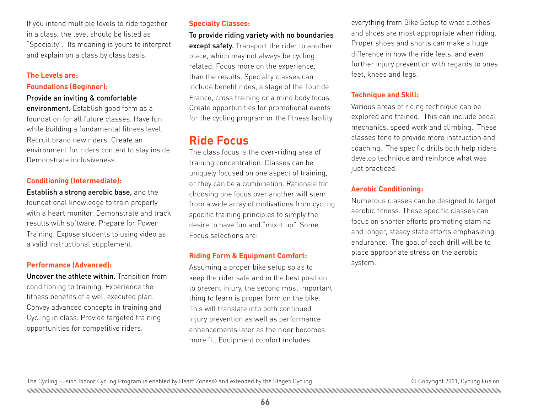If you intend multiple levels to ride together in a class, the level should be listed as "Specialty". Its meaning is yours to interpret and explain on a class by class basis.

## **The Levels are:**

#### **Foundations (Beginner):**

#### Provide an inviting & comfortable

environment. Establish good form as a foundation for all future classes. Have fun while building a fundamental fitness level. Recruit brand new riders. Create an environment for riders content to stay inside. Demonstrate inclusiveness.

#### **Conditioning (Intermediate):**

Establish a strong aerobic base, and the foundational knowledge to train properly with a heart monitor. Demonstrate and track results with software. Prepare for Power Training. Expose students to using video as a valid instructional supplement.

#### **Performance (Advanced):**

Uncover the athlete within. Transition from conditioning to training. Experience the fitness benefits of a well executed plan. Convey advanced concepts in training and Cycling in class. Provide targeted training opportunities for competitive riders.

#### **Specialty Classes:**

To provide riding variety with no boundaries except safety. Transport the rider to another place, which may not always be cycling related. Focus more on the experience, than the results. Specialty classes can include benefit rides, a stage of the Tour de France, cross training or a mind body focus. Create opportunities for promotional events for the cycling program or the fitness facility.

## **Ride Focus**

The class focus is the over-riding area of training concentration. Classes can be uniquely focused on one aspect of training, or they can be a combination. Rationale for choosing one focus over another will stem from a wide array of motivations from cycling specific training principles to simply the desire to have fun and "mix it up". Some Focus selections are:

#### **Riding Form & Equipment Comfort:**

Assuming a proper bike setup so as to keep the rider safe and in the best position to prevent injury, the second most important thing to learn is proper form on the bike. This will translate into both continued injury prevention as well as performance enhancements later as the rider becomes more fit. Equipment comfort includes

everything from Bike Setup to what clothes and shoes are most appropriate when riding. Proper shoes and shorts can make a huge difference in how the ride feels, and even further injury prevention with regards to ones feet, knees and legs.

#### **Technique and Skill:**

Various areas of riding technique can be explored and trained. This can include pedal mechanics, speed work and climbing. These classes tend to provide more instruction and coaching. The specific drills both help riders develop technique and reinforce what was just practiced.

#### **Aerobic Conditioning:**

Numerous classes can be designed to target aerobic fitness. These specific classes can focus on shorter efforts promoting stamina and longer, steady state efforts emphasizing endurance. The goal of each drill will be to place appropriate stress on the aerobic system.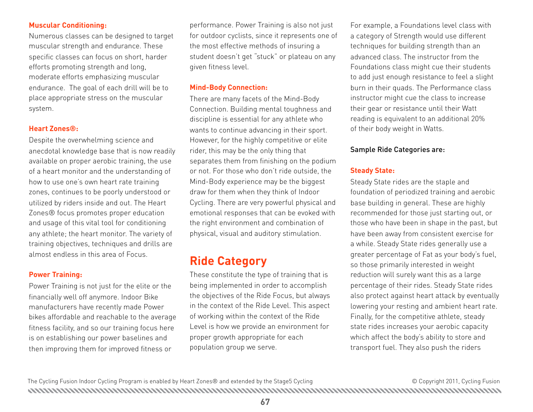#### **Muscular Conditioning:**

Numerous classes can be designed to target muscular strength and endurance. These specific classes can focus on short, harder efforts promoting strength and long, moderate efforts emphasizing muscular endurance. The goal of each drill will be to place appropriate stress on the muscular system.

#### **Heart Zones®:**

Despite the overwhelming science and anecdotal knowledge base that is now readily available on proper aerobic training, the use of a heart monitor and the understanding of how to use one's own heart rate training zones, continues to be poorly understood or utilized by riders inside and out. The Heart Zones® focus promotes proper education and usage of this vital tool for conditioning any athlete; the heart monitor. The variety of training objectives, techniques and drills are almost endless in this area of Focus.

#### **Power Training:**

Power Training is not just for the elite or the financially well off anymore. Indoor Bike manufacturers have recently made Power bikes affordable and reachable to the average fitness facility, and so our training focus here is on establishing our power baselines and then improving them for improved fitness or

performance. Power Training is also not just for outdoor cyclists, since it represents one of the most effective methods of insuring a student doesn't get "stuck" or plateau on any given fitness level.

#### **Mind-Body Connection:**

There are many facets of the Mind-Body Connection. Building mental toughness and discipline is essential for any athlete who wants to continue advancing in their sport. However, for the highly competitive or elite rider, this may be the only thing that separates them from finishing on the podium or not. For those who don't ride outside, the Mind-Body experience may be the biggest draw for them when they think of Indoor Cycling. There are very powerful physical and emotional responses that can be evoked with the right environment and combination of physical, visual and auditory stimulation.

## **Ride Category**

These constitute the type of training that is being implemented in order to accomplish the objectives of the Ride Focus, but always in the context of the Ride Level. This aspect of working within the context of the Ride Level is how we provide an environment for proper growth appropriate for each population group we serve.

For example, a Foundations level class with a category of Strength would use different techniques for building strength than an advanced class. The instructor from the Foundations class might cue their students to add just enough resistance to feel a slight burn in their quads. The Performance class instructor might cue the class to increase their gear or resistance until their Watt reading is equivalent to an additional 20% of their body weight in Watts.

#### Sample Ride Categories are:

#### **Steady State:**

Steady State rides are the staple and foundation of periodized training and aerobic base building in general. These are highly recommended for those just starting out, or those who have been in shape in the past, but have been away from consistent exercise for a while. Steady State rides generally use a greater percentage of Fat as your body's fuel, so those primarily interested in weight reduction will surely want this as a large percentage of their rides. Steady State rides also protect against heart attack by eventually lowering your resting and ambient heart rate. Finally, for the competitive athlete, steady state rides increases your aerobic capacity which affect the body's ability to store and transport fuel. They also push the riders

The Cycling Fusion Indoor Cycling Program is enabled by Heart Zones® and extended by the Stage5 Cycling  $\blacksquare$   $\blacksquare$   $\blacksquare$   $\blacksquare$   $\blacksquare$   $\blacksquare$   $\blacksquare$   $\blacksquare$   $\blacksquare$   $\blacksquare$   $\blacksquare$   $\blacksquare$   $\blacksquare$   $\blacksquare$   $\blacksquare$   $\blacksquare$   $\blacksquare$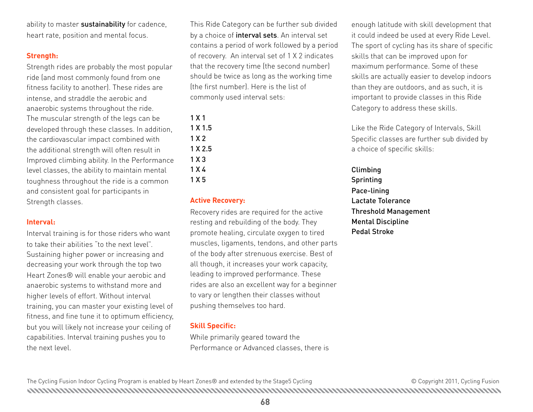ability to master sustainability for cadence, heart rate, position and mental focus.

#### **Strength:**

Strength rides are probably the most popular ride (and most commonly found from one fitness facility to another). These rides are intense, and straddle the aerobic and anaerobic systems throughout the ride. The muscular strength of the legs can be developed through these classes. In addition, the cardiovascular impact combined with the additional strength will often result in Improved climbing ability. In the Performance level classes, the ability to maintain mental toughness throughout the ride is a common and consistent goal for participants in Strength classes.

#### **Interval:**

Interval training is for those riders who want to take their abilities "to the next level". Sustaining higher power or increasing and decreasing your work through the top two Heart Zones® will enable your aerobic and anaerobic systems to withstand more and higher levels of effort. Without interval training, you can master your existing level of fitness, and fine tune it to optimum efficiency, but you will likely not increase your ceiling of capabilities. Interval training pushes you to the next level.

This Ride Category can be further sub divided by a choice of **interval sets**. An interval set contains a period of work followed by a period of recovery. An interval set of 1 X 2 indicates that the recovery time (the second number) should be twice as long as the working time (the first number). Here is the list of commonly used interval sets:

#### 1 X 1 1 X 1.5

1 X 2

- 1 X 2.5
- 1 X 3
- 1 X 4
- 1 X 5

#### **Active Recovery:**

Recovery rides are required for the active resting and rebuilding of the body. They promote healing, circulate oxygen to tired muscles, ligaments, tendons, and other parts of the body after strenuous exercise. Best of all though, it increases your work capacity, leading to improved performance. These rides are also an excellent way for a beginner to vary or lengthen their classes without pushing themselves too hard.

#### **Skill Specific:**

While primarily geared toward the Performance or Advanced classes, there is

enough latitude with skill development that it could indeed be used at every Ride Level. The sport of cycling has its share of specific skills that can be improved upon for maximum performance. Some of these skills are actually easier to develop indoors than they are outdoors, and as such, it is important to provide classes in this Ride Category to address these skills.

Like the Ride Category of Intervals, Skill Specific classes are further sub divided by a choice of specific skills:

Climbing Sprinting Pace-lining Lactate Tolerance Threshold Management Mental Discipline Pedal Stroke

The Cycling Fusion Indoor Cycling Program is enabled by Heart Zones® and extended by the Stage5 Cycling  $\blacksquare$   $\blacksquare$   $\blacksquare$   $\blacksquare$   $\blacksquare$   $\blacksquare$   $\blacksquare$   $\blacksquare$   $\blacksquare$   $\blacksquare$   $\blacksquare$   $\blacksquare$   $\blacksquare$   $\blacksquare$   $\blacksquare$   $\blacksquare$   $\blacksquare$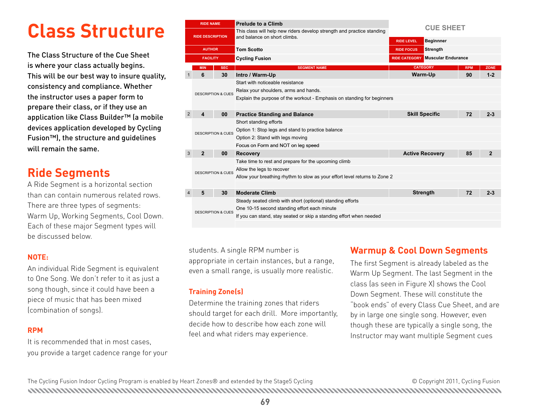# **Class Structure**

The Class Structure of the Cue Sheet is where your class actually begins. This will be our best way to insure quality, consistency and compliance. Whether the instructor uses a paper form to prepare their class, or if they use an application like Class Builder™ (a mobile devices application developed by Cycling Fusion™), the structure and guidelines will remain the same.

## **Ride Segments**

A Ride Segment is a horizontal section than can contain numerous related rows. There are three types of segments: Warm Up, Working Segments, Cool Down. Each of these major Segment types will be discussed below.

#### **NOTE:**

An individual Ride Segment is equivalent to One Song. We don't refer to it as just a song though, since it could have been a piece of music that has been mixed (combination of songs).

#### **RPM**

It is recommended that in most cases, you provide a target cadence range for your

|                         | <b>RIDE NAME</b>              |                               | <b>Prelude to a Climb</b>                                                  |                                         |            |                |  |
|-------------------------|-------------------------------|-------------------------------|----------------------------------------------------------------------------|-----------------------------------------|------------|----------------|--|
|                         |                               |                               | This class will help new riders develop strength and practice standing     | <b>CUE SHEET</b>                        |            |                |  |
| <b>RIDE DESCRIPTION</b> |                               |                               | and balance on short climbs.                                               | <b>Beginnner</b><br><b>RIDE LEVEL</b>   |            |                |  |
| <b>AUTHOR</b>           |                               |                               | <b>Tom Scotto</b>                                                          | <b>Strength</b><br><b>RIDE FOCUS</b>    |            |                |  |
| <b>FACILITY</b>         |                               |                               | <b>Cycling Fusion</b>                                                      | <b>RIDE CATEGORY Muscular Endurance</b> |            |                |  |
|                         | <b>MIN</b>                    | <b>SEC</b>                    | <b>SEGMENT NAME</b>                                                        | <b>CATEGORY</b>                         | <b>RPM</b> | <b>ZONE</b>    |  |
| $\mathbf{1}$            | 6                             | 30                            | Intro / Warm-Up                                                            | Warm-Up                                 | 90         | $1 - 2$        |  |
|                         |                               |                               | Start with noticeable resistance                                           |                                         |            |                |  |
|                         | <b>DESCRIPTION &amp; CUES</b> |                               | Relax your shoulders, arms and hands.                                      |                                         |            |                |  |
|                         |                               |                               | Explain the purpose of the workout - Emphasis on standing for beginners    |                                         |            |                |  |
|                         |                               |                               |                                                                            |                                         |            |                |  |
| 2                       | 4                             | 00                            | <b>Practice Standing and Balance</b>                                       | <b>Skill Specific</b>                   | 72         | $2 - 3$        |  |
|                         | <b>DESCRIPTION &amp; CUES</b> |                               | Short standing efforts                                                     |                                         |            |                |  |
|                         |                               |                               | Option 1: Stop legs and stand to practice balance                          |                                         |            |                |  |
|                         |                               |                               | Option 2: Stand with legs moving                                           |                                         |            |                |  |
|                         |                               |                               | Focus on Form and NOT on leg speed                                         |                                         |            |                |  |
| 3                       | $\mathbf{2}$                  | 00                            | <b>Recovery</b>                                                            | <b>Active Recovery</b>                  | 85         | $\overline{2}$ |  |
|                         |                               |                               | Take time to rest and prepare for the upcoming climb                       |                                         |            |                |  |
|                         |                               |                               | Allow the legs to recover                                                  |                                         |            |                |  |
|                         |                               | <b>DESCRIPTION &amp; CUES</b> | Allow your breathing rhythm to slow as your effort level returns to Zone 2 |                                         |            |                |  |
|                         |                               |                               |                                                                            |                                         |            |                |  |
| 4                       | 5                             | 30                            | <b>Moderate Climb</b>                                                      | <b>Strength</b>                         | 72         | $2 - 3$        |  |
|                         | <b>DESCRIPTION &amp; CUES</b> |                               | Steady seated climb with short (optional) standing efforts                 |                                         |            |                |  |
|                         |                               |                               | One 10-15 second standing effort each minute                               |                                         |            |                |  |
|                         |                               |                               | If you can stand, stay seated or skip a standing effort when needed        |                                         |            |                |  |
|                         |                               |                               |                                                                            |                                         |            |                |  |

students. A single RPM number is appropriate in certain instances, but a range,

#### **Training Zone(s)**

Determine the training zones that riders should target for each drill. More importantly, decide how to describe how each zone will feel and what riders may experience.

#### **Warmup & Cool Down Segments**

The first Segment is already labeled as the Warm Up Segment. The last Segment in the class (as seen in Figure X) shows the Cool Down Segment. These will constitute the "book ends" of every Class Cue Sheet, and are by in large one single song. However, even though these are typically a single song, the Instructor may want multiple Segment cues even a small range, is usually more realistic. Warm Un Seqment. The last Seqment in the

The Cycling Fusion Indoor Cycling Program is enabled by Heart Zones® and extended by the Stage5 Cycling Come may be copyright 2011, Cycling Fusion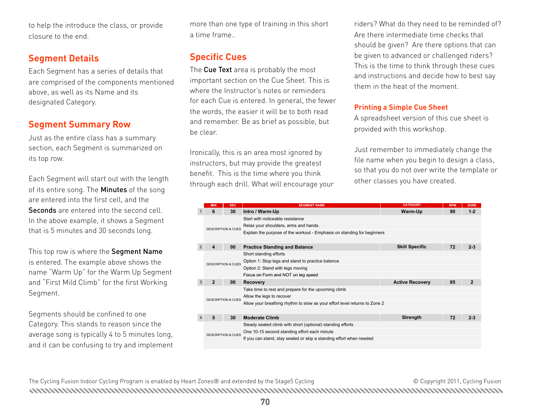to help the introduce the class, or provide closure to the end.

#### **Segment Details**

Each Segment has a series of details that are comprised of the components mentioned above, as well as its Name and its designated Category.

#### **Segment Summary Row**

Just as the entire class has a summary section, each Segment is summarized on its top row.

Each Segment will start out with the length of its entire song. The Minutes of the song are entered into the first cell, and the Seconds are entered into the second cell. In the above example, it shows a Segment that is 5 minutes and 30 seconds long.

This top row is where the Segment Name is entered. The example above shows the name "Warm Up" for the Warm Up Segment and "First Mild Climb" for the first Working Segment.

Segments should be confined to one Category. This stands to reason since the average song is typically 4 to 5 minutes long, and it can be confusing to try and implement more than one type of training in this short a time frame..

### **Specific Cues**

The Cue Text area is probably the most important section on the Cue Sheet. This is where the Instructor's notes or reminders for each Cue is entered. In general, the fewer the words, the easier it will be to both read and remember. Be as brief as possible, but be clear.

Ironically, this is an area most ignored by instructors, but may provide the greatest benefit. This is the time where you think **SOLIGE** through each drill. What will encourage your **AUTHOR Tom Scotto RIDE FOCUS Strength**

riders? What do they need to be reminded of? Are there intermediate time checks that should be given? Are there options that can be given to advanced or challenged riders? This is the time to think through these cues and instructions and decide how to best say them in the heat of the moment.

#### **Printing a Simple Cue Sheet**

A spreadsheet version of this cue sheet is provided with this workshop.

Just remember to immediately change the file name when you begin to design a class, so that you do not over the greatest<br>**R** This is the time where you think **CUE SO** that you do not over write the template or and balance of the classes you have created.

|   | <b>MIN</b>                    | <b>SEC</b> | <b>SEGMENT NAME</b>                                                        | <b>CATEGORY</b>        | <b>RPM</b> | <b>ZONE</b>  |
|---|-------------------------------|------------|----------------------------------------------------------------------------|------------------------|------------|--------------|
|   | 6                             | 30         | Intro / Warm-Up                                                            | Warm-Up                | 90         | $1 - 2$      |
|   | <b>DESCRIPTION &amp; CUES</b> |            | Start with noticeable resistance                                           |                        |            |              |
|   |                               |            | Relax your shoulders, arms and hands.                                      |                        |            |              |
|   |                               |            | Explain the purpose of the workout - Emphasis on standing for beginners    |                        |            |              |
|   |                               |            |                                                                            |                        |            |              |
| 2 | 4                             | 00         | <b>Practice Standing and Balance</b>                                       | <b>Skill Specific</b>  | 72         | $2 - 3$      |
|   |                               |            | Short standing efforts                                                     |                        |            |              |
|   |                               |            | Option 1: Stop legs and stand to practice balance                          |                        |            |              |
|   | DESCRIPTION & CUES            |            | Option 2: Stand with legs moving                                           |                        |            |              |
|   |                               |            | Focus on Form and NOT on leg speed                                         |                        |            |              |
| 3 | 2                             | 00         | <b>Recovery</b>                                                            | <b>Active Recovery</b> | 85         | $\mathbf{2}$ |
|   | <b>DESCRIPTION &amp; CUES</b> |            | Take time to rest and prepare for the upcoming climb                       |                        |            |              |
|   |                               |            | Allow the legs to recover                                                  |                        |            |              |
|   |                               |            | Allow your breathing rhythm to slow as your effort level returns to Zone 2 |                        |            |              |
|   |                               |            |                                                                            |                        |            |              |
|   | 5                             | 30         | <b>Moderate Climb</b>                                                      | <b>Strength</b>        | 72         | $2 - 3$      |
|   | <b>DESCRIPTION &amp; CUES</b> |            | Steady seated climb with short (optional) standing efforts                 |                        |            |              |
|   |                               |            | One 10-15 second standing effort each minute                               |                        |            |              |
|   |                               |            | If you can stand, stay seated or skip a standing effort when needed        |                        |            |              |
|   |                               |            |                                                                            |                        |            |              |

The Cycling Fusion Indoor Cycling Program is enabled by Heart Zones® and extended by the Stage5 Cycling Come may be copyright 2011, Cycling Fusion COPYRIGHT © CYCLING FUSION. ALL RIGHTS RESERVED. CYCLING FUSION 1.0 ALL RIGHTS RESERVED. VERSION 1.0 ALL RIGHT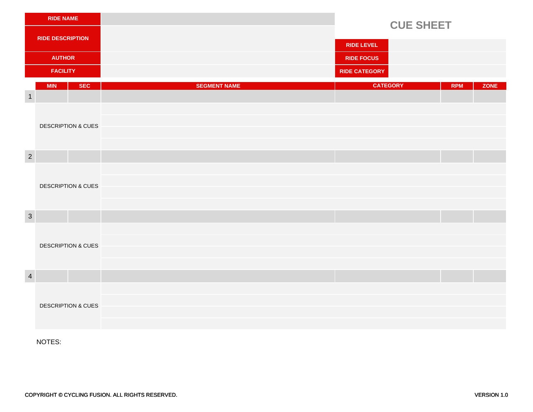| <b>RIDE NAME</b>        |                               |                     |                      | <b>CUE SHEET</b>          |  |  |
|-------------------------|-------------------------------|---------------------|----------------------|---------------------------|--|--|
| <b>RIDE DESCRIPTION</b> |                               |                     |                      |                           |  |  |
|                         |                               |                     | <b>RIDE LEVEL</b>    |                           |  |  |
|                         | <b>AUTHOR</b>                 |                     | <b>RIDE FOCUS</b>    |                           |  |  |
| <b>FACILITY</b>         |                               |                     | <b>RIDE CATEGORY</b> |                           |  |  |
|                         | <b>MIN</b><br><b>SEC</b>      | <b>SEGMENT NAME</b> | <b>CATEGORY</b>      | <b>RPM</b><br><b>ZONE</b> |  |  |
| $\overline{1}$          |                               |                     |                      |                           |  |  |
|                         |                               |                     |                      |                           |  |  |
|                         | <b>DESCRIPTION &amp; CUES</b> |                     |                      |                           |  |  |
|                         |                               |                     |                      |                           |  |  |
| $\overline{2}$          |                               |                     |                      |                           |  |  |
|                         |                               |                     |                      |                           |  |  |
|                         | <b>DESCRIPTION &amp; CUES</b> |                     |                      |                           |  |  |
|                         |                               |                     |                      |                           |  |  |
|                         |                               |                     |                      |                           |  |  |
| $\mathbf{3}$            |                               |                     |                      |                           |  |  |
|                         |                               |                     |                      |                           |  |  |
|                         | <b>DESCRIPTION &amp; CUES</b> |                     |                      |                           |  |  |
|                         |                               |                     |                      |                           |  |  |
| $\overline{4}$          |                               |                     |                      |                           |  |  |
|                         |                               |                     |                      |                           |  |  |
|                         | <b>DESCRIPTION &amp; CUES</b> |                     |                      |                           |  |  |
|                         |                               |                     |                      |                           |  |  |
|                         |                               |                     |                      |                           |  |  |

NOTES: